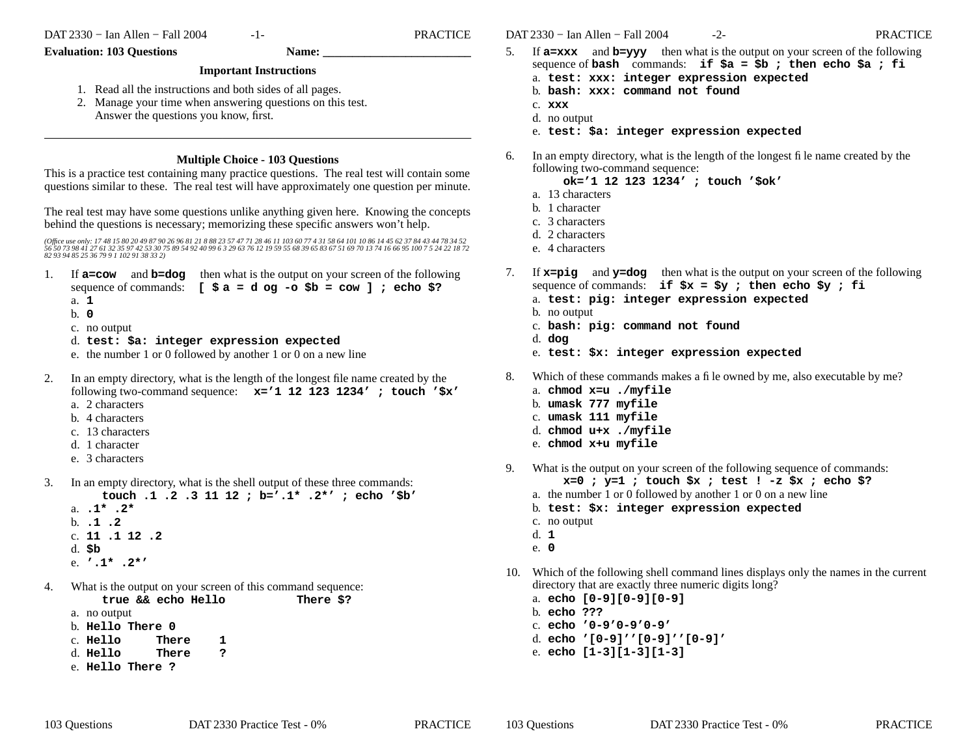$-1-$ 

**Name:** 

**PRACTICE** 

## **Evaluation: 103 Questions**

## **Important Instructions**

- 1. Read all the instructions and both sides of all pages.
- 2. Manage your time when answering questions on this test. Answer the questions you know, first.

## **Multiple Choice - 103 Ouestions**

This is a practice test containing many practice questions. The real test will contain some questions similar to these. The real test will have approximately one question per minute.

The real test may have some questions unlike anything given here. Knowing the concepts behind the questions is necessary; memorizing these specific answers won't help.

(Office use only: 17 48 15 80 20 49 87 90 26 96 81 21 8 88 23 57 47 71 28 46 11 103 60 77 4 31 58 64 101 10 86 14 45 62 37 84 43 44 78 34 52<br>56 50 73 98 41 27 61 32 35 97 42 53 30 75 89 54 92 40 99 6 3 29 63 76 12 19 59 55

- 1. If  $a = \text{row}$  and  $b = \text{dog}$  then what is the output on your screen of the following sequence of commands:  $[s \text{ a} = d \text{ og } -\text{o} \text{ } \text{S}b = \text{row } ]$ ; echo \$?
	- a. 1
	- $b. 0$
	- c. no output
	- d. test: \$a: integer expression expected
	- e. the number 1 or 0 followed by another 1 or 0 on a new line
- 2. In an empty directory, what is the length of the longest file name created by the following two-command sequence:  $x=1$  12 123 1234'; touch '\$x' a. 2 characters
	- b. 4 characters
	- c. 13 characters
	- d. 1 character
	- e. 3 characters
- $\mathfrak{Z}$ . In an empty directory, what is the shell output of these three commands: touch .1 .2 .3 11 12 ; b='.1\* .2\*' ; echo '\$b'
	- a.  $.1*$  .  $2*$
	- $b. 1.2$
	- c. 11 .1 12 .2
	- $d.$  $Sb$
	- e.  $\cdot$  .1\* .2\*'
- $\overline{4}$ . What is the output on your screen of this command sequence: There \$?

 $\mathbf{1}$ 

true && echo Hello

- a. no output
- b. Hello There 0
- c. Hello There
- $d.$  Hello There  $\mathbf{P}$
- e Hello There ?

DAT 2330 - Ian Allen - Fall 2004

If  $a = x \times x$  and  $b = y \times y$  then what is the output on your screen of the following 5. sequence of bash commands: if  $\xi a = \xi b$ ; then echo  $\xi a$ ; fi

 $-2-$ 

- a. test: xxx: integer expression expected
- b. bash: xxx: command not found
- $c.$  xxx
- d. no output
- e. test: \$a: integer expression expected
- In an empty directory, what is the length of the longest file name created by the 6. following two-command sequence:
	- ok='1 12 123 1234' ; touch '\$ok'
	- a. 13 characters
	- b. 1 character
	- c. 3 characters
	- d. 2 characters
	- e. 4 characters
- If  $x = \pi$  and  $y = \text{dog}$  then what is the output on your screen of the following 7. sequence of commands: if  $$x = $y$ ; then echo  $$y$ ; fi
	- a. test: pig: integer expression expected
	- b. no output
	- c. bash: pig: command not found
	- d. dog
	- e. test: \$x: integer expression expected
- 8. Which of these commands makes a file owned by me, also executable by me?
	- a. chmod x=u ./myfile
	- b. umask 777 myfile
	- c. umask 111 myfile
	- d. chmod u+x ./myfile
	- e. chmod x+u myfile
- What is the output on your screen of the following sequence of commands: 9.  $x=0$ ;  $y=1$ ; touch  $sx$ ; test ! -z  $sx$ ; echo \$?
	- a. the number 1 or 0 followed by another 1 or 0 on a new line
	- b. test: \$x: integer expression expected
	- c. no output
	- $d. 1$
	- e. 0
- 10. Which of the following shell command lines displays only the names in the current directory that are exactly three numeric digits long?
	- a. echo [0-9][0-9][0-9]
	- b. echo ???
	- c. echo  $10-910-910-91$
	- d. echo '[0-9]''[0-9]''[0-9]'
	- e. echo  $[1-3][1-3][1-3]$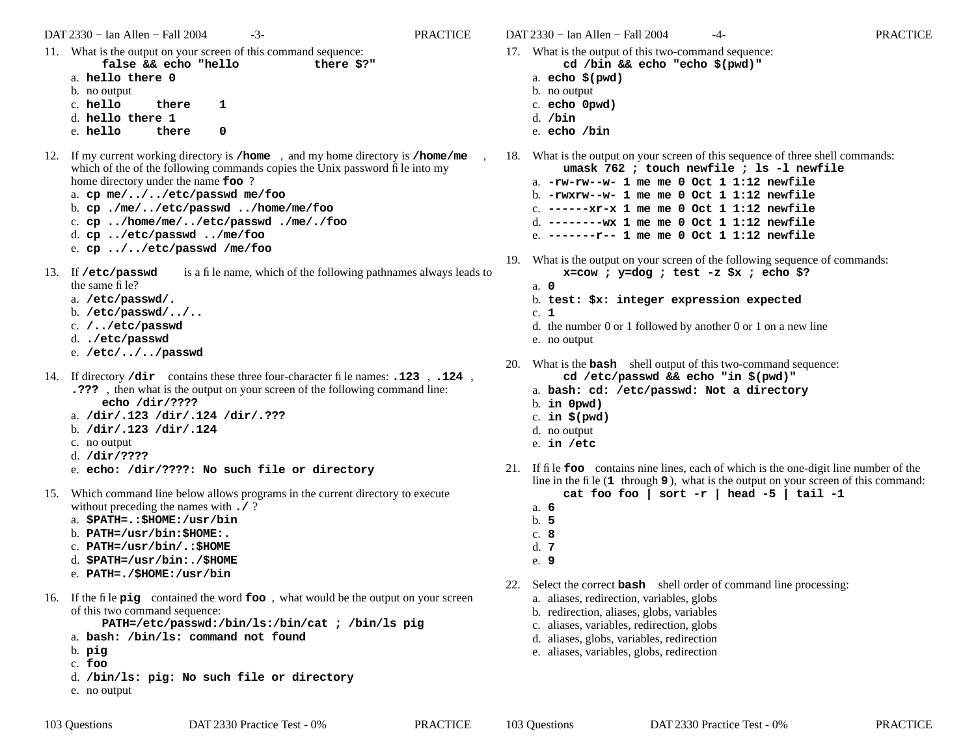DAT 2330 − Ian Allen − Fall 2004 -3- PRACTICE

- 11. What is the output on your screen of this command sequence: **false && echo "hello there \$?"** a. **hello there 0**
	- b. no output
	- **1**
	- c. **hello there**d. **hello there 1**
	- e. **hello there**there 0
- 12. If my current working directory is **/home** , and my home directory is **/home/me** , which of the of the following commands copies the Unix password file into my home directory under the name **foo** ?
	- a. **cp me/../../etc/passwd me/foo**
	- b. **cp ./me/../etc/passwd ../home/me/foo**
	- c. **cp ../home/me/../etc/passwd ./me/./foo**
	- d. **cp ../etc/passwd ../me/foo**
	- e. **cp ../../etc/passwd /me/foo**
- 13. If /etc/passwd is a file name, which of the following pathnames always leads to the same file?
	- a. **/etc/passwd/.**
	- b. **/etc/passwd/../..**
	- c. **/../etc/passwd**
	- d. **./etc/passwd**
	- e. **/etc/../../passwd**
- 14. If directory **/dir** contains these three four-character file names: **.123** , **.124** , **.???** , then what is the output on your screen of the following command line: **echo /dir/????**
	- a. **/dir/.123 /dir/.124 /dir/.???**
	- b. **/dir/.123 /dir/.124**
	- c. no output
	- d. **/dir/????**
	- e. **echo: /dir/????: No such file or directory**
- 15. Which command line below allows programs in the current directory to execute without preceding the names with **./** ?
	- a. **\$PATH=.:\$HOME:/usr/bin**
	- b. **PATH=/usr/bin:\$HOME:.**
	- c. **PATH=/usr/bin/.:\$HOME**
	- d. **\$PATH=/usr/bin:./\$HOME**
	- e. **PATH=./\$HOME:/usr/bin**
- 16. If the file **pig** contained the word **foo** , what would be the output on your screen of this two command sequence:

**PATH=/etc/passwd:/bin/ls:/bin/cat ; /bin/ls pig**

- a. **bash: /bin/ls: command not found**
- b. **pig**
- c. **foo**
- d. **/bin/ls: pig: No such file or directory**
- e. no output

DAT 2330 − Ian Allen − Fall 2004 -4- PRACTICE

- 17. What is the output of this two-command sequence: **cd /bin && echo "echo \$(pwd)"**
	- a. **echo \$(pwd)**
	- b. no output
	- c. **echo 0pwd)** d. **/bin**
	- e. **echo /bin**
- 18. What is the output on your screen of this sequence of three shell commands: **umask 762 ; touch newfile ; ls -l newfile**
	- a. **-rw-rw--w- 1 me me 0 Oct 1 1:12 newfile**b. **-rwxrw--w- 1 me me 0 Oct 1 1:12 newfile**c. **------xr-x 1 me me 0 Oct 1 1:12 newfile**d. **--------wx 1 me me 0 Oct 1 1:12 newfile**e. **-------r-- 1 me me 0 Oct 1 1:12 newfile**
- 19. What is the output on your screen of the following sequence of commands: **x=cow ; y=dog ; test -z \$x ; echo \$?**
	- a. **0**
	- b. **test: \$x: integer expression expected**
	- c. **1**
	- d. the number 0 or 1 followed by another 0 or 1 on a new line
	- e. no output
- 20. What is the **bash** shell output of this two-command sequence: **cd /etc/passwd && echo "in \$(pwd)"**
	- a. **bash: cd: /etc/passwd: Not a directory**
	- b. **in 0pwd)**
	- c. **in \$(pwd)**
	- d. no output
	- e. **in /etc**
- 21. If file **foo** contains nine lines, each of which is the one-digit line number of the line in the file (**<sup>1</sup>** through **9** ), what is the output on your screen of this command: **cat foo foo | sort -r | head -5 | tail -1**
	- a. **6**
	- b. **5**
	- c. **8**
	- d. **7**
	- e. **9**

22. Select the correct **bash** shell order of command line processing:

- a. aliases, redirection, variables, globs
- b. redirection, aliases, globs, variables
- c. aliases, variables, redirection, globs
- d. aliases, globs, variables, redirection
- e. aliases, variables, globs, redirection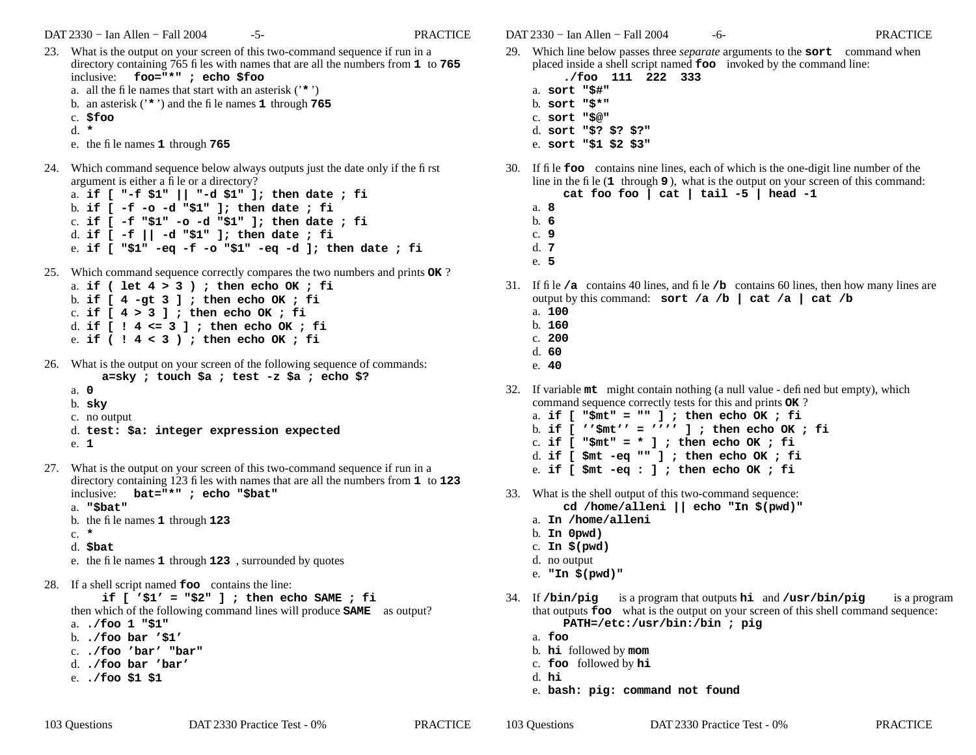DAT 2330 − Ian Allen − Fall 2004 -5- FRACTICE

23. What is the output on your screen of this two-command sequence if run in a directory containing 765 files with names that are all the numbers from **<sup>1</sup>** to **<sup>765</sup>** inclusive: **foo="\*" ; echo \$foo** a. all the file names that start with an asterisk ('**\*** ') b. an asterisk ('**\*** ') and the file names **<sup>1</sup>** through **<sup>765</sup>** c. **\$foo** d. **\***e. the file names **1** through **<sup>765</sup>**

- 24. Which command sequence below always outputs just the date only if the first argument is either a file or a directory?
	- a. **if [ "-f \$1" || "-d \$1" ]; then date ; fi** b. **if [ -f -o -d "\$1" ]; then date ; fi** c. **if [ -f "\$1" -o -d "\$1" ]; then date ; fi** d. **if [ -f || -d "\$1" ]; then date ; fi** e. **if [ "\$1" -eq -f -o "\$1" -eq -d ]; then date ; fi**
- 25. Which command sequence correctly compares the two numbers and prints **OK** ?
	- a. **if ( let 4 > 3 ) ; then echo OK ; fi** b. **if [ 4 -gt 3 ] ; then echo OK ; fi** c. **if [ 4 > 3 ] ; then echo OK ; fi** d. **if [ ! 4 <= 3 ] ; then echo OK ; fi** e. **if ( ! 4 < 3 ) ; then echo OK ; fi**
- 26. What is the output on your screen of the following sequence of commands: **a=sky ; touch \$a ; test -z \$a ; echo \$?**
	- a. **0**
	- b. **sky**
	- c. no output
	- d. **test: \$a: integer expression expected** e. **1**
- 27. What is the output on your screen of this two-command sequence if run in a directory containing 123 files with names that are all the numbers from **<sup>1</sup>** to **<sup>123</sup>** inclusive: **bat="\*" ; echo "\$bat"**
	- a. **"\$bat"**
	- b. the file names **1** through **<sup>123</sup>**
	- c. **\***
	- d. **\$bat**

e. the file names **1** through **<sup>123</sup>** , surrounded by quotes

28. If <sup>a</sup> shell script named **foo** contains the line:

**if [ '\$1' = "\$2" ] ; then echo SAME ; fi** then which of the following command lines will produce **SAME** as output? a. **./foo 1 "\$1"** b. **./foo bar '\$1'** c. **./foo 'bar' "bar"** d. **./foo bar 'bar'**

e. **./foo \$1 \$1**

DAT 2330 − Ian Allen − Fall 2004 -6- C- PRACTICE

- 29. Which line below passes three *separate* arguments to the **sort** command when placed inside a shell script named **foo** invoked by the command line:
	- **./foo 111 222 333** a. **sort "\$#"**
	- b. **sort "\$\*"**
	- c. **sort "\$@"**
	- d. **sort "\$? \$? \$?"**
	- e. **sort "\$1 \$2 \$3"**
- 30. If file **foo** contains nine lines, each of which is the one-digit line number of the line in the file (**<sup>1</sup>** through **9** ), what is the output on your screen of this command: **cat foo foo | cat | tail -5 | head -1**
	- a. **8**b. **6**
	- c. **9**
	- d. **7**
	- e. **5**
- 31. If file **/a** contains 40 lines, and file **/b** contains 60 lines, then how many lines are output by this command: **sort /a /b | cat /a | cat /b**
	- a. **100**
	- b. **160**
	- c. **200**
	- d. **60**e. **40**
		-
- 32. If variable **mt** might contain nothing (a null value defined but empty), which command sequence correctly tests for this and prints **OK** ?
	- a. **if [ "\$mt" = "" ] ; then echo OK ; fi**
	- b. **if [ ''\$mt'' = '''' ] ; then echo OK ; fi**
	- c. **if [ "\$mt" = \* ] ; then echo OK ; fi**
	- d. **if [ \$mt -eq "" ] ; then echo OK ; fi**
	- e. **if [ \$mt -eq : ] ; then echo OK ; fi**
- 33. What is the shell output of this two-command sequence: **cd /home/alleni || echo "In \$(pwd)"**
	- a. **In /home/alleni**
	- b. **In 0pwd)**
	- c. **In \$(pwd)**
	- d. no output
	- e. **"In \$(pwd)"**
- 34. If **/bin/pig** is a program that outputs **hi** and **/usr/bin/pig** is a program that outputs **foo** what is the output on your screen of this shell command sequence: **PATH=/etc:/usr/bin:/bin ; pig**
	- a. **foo**
	- b. **hi** followed by **mom**
	- c. **foo** followed by **hi**
	- d. **hi**
	- e. **bash: pig: command not found**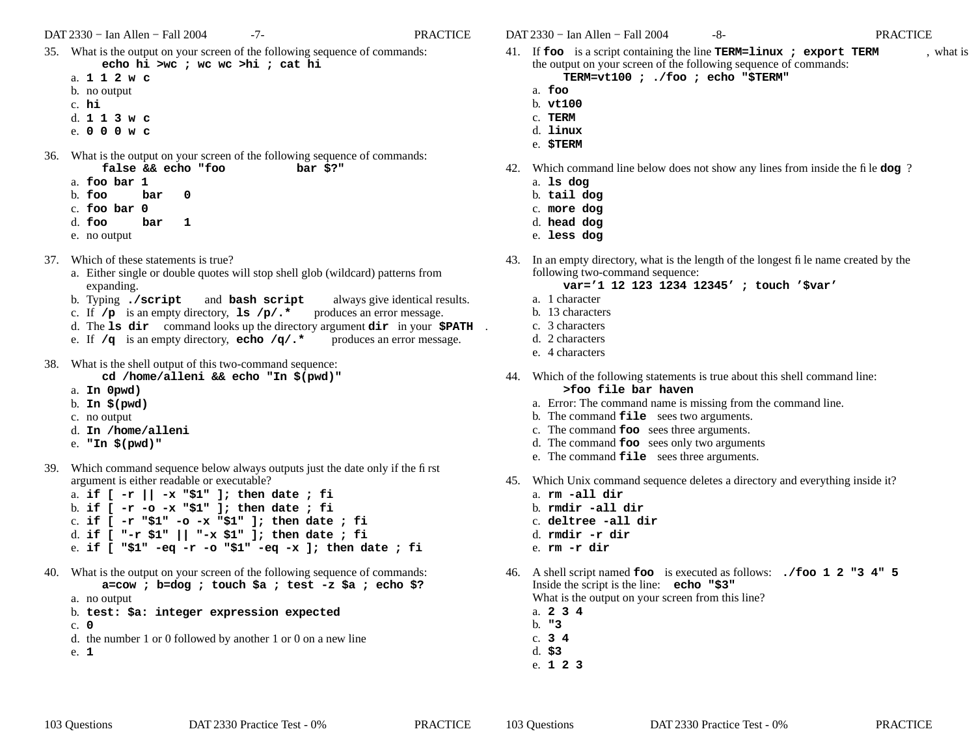DAT 2330 − Ian Allen − Fall 2004 -7- PRACTICE

- 35. What is the output on your screen of the following sequence of commands: **echo hi >wc ; wc wc >hi ; cat hi**
	- a. **112w c**
	- b. no output
	- c. **hi**
	- d. **113w c**
	- e. **000w c**
- 36. What is the output on your screen of the following sequence of commands: **false && echo "foo bar \$?"**
	- a. **foo bar 1**
	- b. **foo barbar** 0
	- c. **foo bar 0**d. **foo bar1**
	- e. no output
- 37. Which of these statements is true?
	- a. Either single or double quotes will stop shell glob (wildcard) patterns from expanding.
	- b. Typing **./script** and **bash script** always give identical results.
	- c. If **/p** is an empty directory, **ls /p/.\*** produces an error message.
	- d. The **ls dir** command looks up the directory argument **dir** in your **\$PATH** .
	- e. If **/q** is an empty directory, **echo /q/.\*** produces an error message.
- 38. What is the shell output of this two-command sequence:

**cd /home/alleni && echo "In \$(pwd)"**

- a. **In 0pwd)**
- b. **In \$(pwd)**
- c. no output
- d. **In /home/alleni**
- e. **"In \$(pwd)"**
- 39. Which command sequence below always outputs just the date only if the first argument is either readable or executable?
	- a. **if [ -r || -x "\$1" ]; then date ; fi** b. **if [ -r -o -x "\$1" ]; then date ; fi** c. **if [ -r "\$1" -o -x "\$1" ]; then date ; fi** d. **if [ "-r \$1" || "-x \$1" ]; then date ; fi** e. **if [ "\$1" -eq -r -o "\$1" -eq -x ]; then date ; fi**
- 40. What is the output on your screen of the following sequence of commands: **a=cow ; b=dog ; touch \$a ; test -z \$a ; echo \$?**
	- a. no output
	- b. **test: \$a: integer expression expected**
	- c. **0**d. the number 1 or 0 followed by another 1 or 0 on a new line
	- e. **1**

DAT 2330 − Ian Allen − Fall 2004 -8- PRACTICE

- 41. If **foo** is a script containing the line **TERM=linux ; export TERM** , what is the output on your screen of the following sequence of commands:
	- **TERM=vt100 ; ./foo ; echo "\$TERM"**
	- a. **foo**
	- b. **vt100**
	- c. **TERM**
	- d. **linux**e. **\$TERM**
- 42. Which command line below does not show any lines from inside the file **dog** ?
	- a. **ls dog**
	- b. **tail dog**
	- c. **more dog**
	- d. **head dog**
	- e. **less dog**
- 43. In an empty directory, what is the length of the longest file name created by the following two-command sequence:
	- **var='1 12 123 1234 12345' ; touch '\$var'**
	- a. 1 character
	- b. 13 characters
	- c. 3 characters
	- d. 2 characters
	- e. 4 characters
- 44. Which of the following statements is true about this shell command line: **>foo file bar haven**
	- a. Error: The command name is missing from the command line.
	- b. The command **file** sees two arguments.
	- c. The command **foo** sees three arguments.
	- d. The command **foo** sees only two arguments
	- e. The command **file** sees three arguments.
- 45. Which Unix command sequence deletes a directory and everything inside it?
	- a. **rm -all dir**
	- b. **rmdir -all dir**
	- c. **deltree -all dir**
	- d. **rmdir -r dir**
	- e. **rm -r dir**
- 46. A shell script named **foo** is executed as follows: **./foo 1 2 "3 4" 5** Inside the script is the line: **echo "\$3"** What is the output on your screen from this line?
	- a. **234**
	- b. **"3**
	- c. **3 4**
	- d. **\$3** e. **123**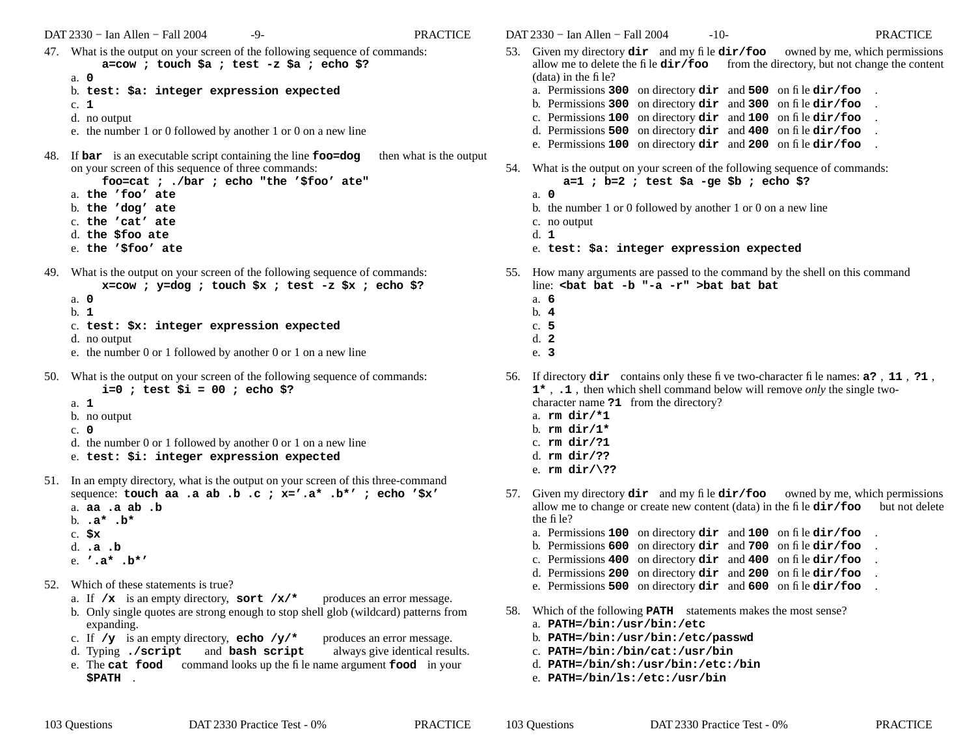DAT 2330 − Ian Allen − Fall 2004 -9- PRACTICE

- 47. What is the output on your screen of the following sequence of commands: **a=cow ; touch \$a ; test -z \$a ; echo \$?**
	- a. **0**
	- b. **test: \$a: integer expression expected**
	- c. **1**
	- d. no output
	- e. the number 1 or 0 followed by another 1 or 0 on a new line
- 48. If **bar** is an executable script containing the line **foo=dog** then what is the output on your screen of this sequence of three commands:
	- **foo=cat ; ./bar ; echo "the '\$foo' ate"**
	- a. **the 'foo' ate**
	- b. **the 'dog' ate**
	- c. **the 'cat' ate**
	- d. **the \$foo ate**
	- e. **the '\$foo' ate**
- 49. What is the output on your screen of the following sequence of commands:
	- **x=cow ; y=dog ; touch \$x ; test -z \$x ; echo \$?**
	- a. **0**
	- b. **1**
	- c. **test: \$x: integer expression expected**
	- d. no output
	- e. the number 0 or 1 followed by another 0 or 1 on a new line
- 50. What is the output on your screen of the following sequence of commands: **i=0 ; test \$i = 00 ; echo \$?**
	- a. **1**
		-
	- b. no output
	- c. **0**
	- d. the number 0 or 1 followed by another 0 or 1 on a new line
	- e. **test: \$i: integer expression expected**
- 51. In an empty directory, what is the output on your screen of this three-command sequence: **touch aa .a ab .b .c ; x='.a\* .b\*' ; echo '\$x'**
	- a. **aa .a ab .b**
	- b. **.a\* .b\***
	- c. **\$x**
	- d. **.a .b**
	- e. **'.a\* .b\*'**
- 52. Which of these statements is true?
	- a. If **/x** is an empty directory, **sort /x/\*** produces an error message.
	- b. Only single quotes are strong enough to stop shell glob (wildcard) patterns from expanding.
	- c. If **/y** is an empty directory, **echo /y/\*** produces an error message.
	- d. Typing **./script** and **bash script** always give identical results.
	- e. The **cat food** command looks up the file name argument **food** in your **\$PATH** .
- DAT 2330 − Ian Allen − Fall 2004 -10- PRACTICE
- 
- 53. Given my directory **dir** and my file **dir/foo** owned by me, which permissions allow me to delete the file **dir/foo** from the directory, but not change the content (data) in the file? a. Permissions **300** on directory **dir** and **500** on file **dir/foo** . b. Permissions **300** on directory **dir** and **300** on file **dir/foo** . c. Permissions **100** on directory **dir** and **100** on file **dir/foo** .
	- d. Permissions **500** on directory **dir** and **400** on file **dir/foo** . e. Permissions **100** on directory **dir** and **200** on file **dir/foo** .
- 54. What is the output on your screen of the following sequence of commands: **a=1 ; b=2 ; test \$a -ge \$b ; echo \$?**
	- a. **0** b. the number 1 or 0 followed by another 1 or 0 on a new line
	- c. no output
	- d. **1**
	- e. **test: \$a: integer expression expected**
- 55. How many arguments are passed to the command by the shell on this command line: **<bat bat -b "-a -r" >bat bat bat**
	- a. **6**
	- b. **4**
	- c. **5**
	- d. **2**
	- e. **3**
- 56. If directory **dir** contains only these five two-character file names: **a?** , **<sup>11</sup>** , **?1** , **1\*** , **.1** , then which shell command below will remove *only* the single twocharacter name **?1** from the directory?
	- a. **rm dir/\*1**
	- b. **rm dir/1\***
	- c. **rm dir/?1**
	- d. **rm dir/??**
	- e. **rm dir/\??**
- 57. Given my directory **dir** and my file **dir/foo** owned by me, which permissions allow me to change or create new content (data) in the file  $\text{dir/foo}$  but not delete the file?
	- a. Permissions **100** on directory **dir** and **<sup>100</sup>** on file **dir/foo** .
	- b. Permissions **600** on directory **dir** and **<sup>700</sup>** on file **dir/foo** .
	- c. Permissions **400** on directory **dir** and **<sup>400</sup>** on file **dir/foo** .
	- d. Permissions **200** on directory **dir** and **<sup>200</sup>** on file **dir/foo** .
	- e. Permissions **500** on directory **dir** and **<sup>600</sup>** on file **dir/foo** .
- 58. Which of the following **PATH** statements makes the most sense?
	- a. **PATH=/bin:/usr/bin:/etc**
	- b. **PATH=/bin:/usr/bin:/etc/passwd**
	- c. **PATH=/bin:/bin/cat:/usr/bin**
	- d. **PATH=/bin/sh:/usr/bin:/etc:/bin**
	- e. **PATH=/bin/ls:/etc:/usr/bin**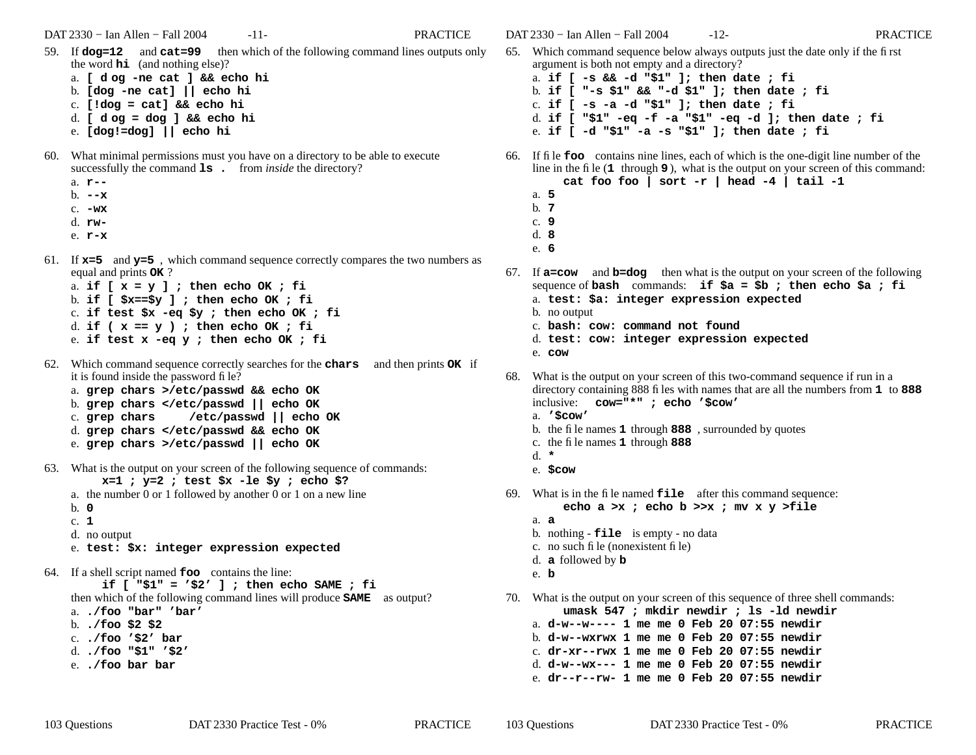DAT 2330 − Ian Allen − Fall 2004 -11- PRACTICE

a. **[ d og -ne cat ] && echo hi**

- b. **[dog -ne cat] || echo hi**
- c. **[!dog = cat] && echo hi**
- d. **[ d og = dog ] && echo hi**
- e. **[dog!=dog] || echo hi**
- 60. What minimal permissions must you have onadirectory to be able to execute successfully the command **ls** . from *inside* the directory?
	- a. **r--**
	- b. **--x**
	- c. **-wx**
	- d. **rw-**
	- e. **r-x**
- 61. If **x=5** and **y=5** , which command sequence correctly compares the two numbers as equal and prints **OK** ?
	- a. **if [ x = y ] ; then echo OK ; fi** b. **if [ \$x==\$y ] ; then echo OK ; fi** c. **if test \$x -eq \$y ; then echo OK ; fi** d. **if ( x == y ) ; then echo OK ; fi** e. **if test x -eq y ; then echo OK ; fi**
- 62. Which command sequence correctly searches for the **chars** and then prints **OK** if it is found inside the password file?
	- a. **grep chars >/etc/passwd && echo OK**
	- b. **grep chars </etc/passwd || echo OK**
	- c. grep chars **grep chars /etc/passwd || echo OK**
	- d. **grep chars </etc/passwd && echo OK**
	- e. **grep chars >/etc/passwd || echo OK**
- 63. What is the output on your screen of the following sequence of commands: **x=1 ; y=2 ; test \$x -le \$y ; echo \$?**
	- a. the number 0 or 1 followed by another 0 or 1 on a new line
	- b. **0**
	- c. **1**
	- d. no output
	- e. **test: \$x: integer expression expected**
- 64. If <sup>a</sup> shell script named **foo** contains the line:

**if [ "\$1" = '\$2' ] ; then echo SAME ; fi** then which of the following command lines will produce **SAME** as output?

- a. **./foo "bar" 'bar'**
- b. **./foo \$2 \$2**
- c. **./foo '\$2' bar**
- d. **./foo "\$1" '\$2'**
- e. **./foo bar bar**

DAT 2330 − Ian Allen − Fall 2004 -12- PRACTICE

- 65. Which command sequence below always outputs just the date only if the first argument is both not empty and a directory? a. **if [ -s && -d "\$1" ]; then date ; fi** b. **if [ "-s \$1" && "-d \$1" ]; then date ; fi** c. **if [ -s -a -d "\$1" ]; then date ; fi**
	- d. **if [ "\$1" -eq -f -a "\$1" -eq -d ]; then date ; fi**
	- e. **if [ -d "\$1" -a -s "\$1" ]; then date ; fi**
- 66. If file **foo** contains nine lines, each of which is the one-digit line number of the line in the file (**<sup>1</sup>** through **9** ), what is the output on your screen of this command: **cat foo foo | sort -r | head -4 | tail -1**
	- a. **5**b. **7**
	- c. **9**
	- d. **8**
	- e. **6**
- 67. If **a=cow** and **b=dog** then what is the output on your screen of the following sequence of **bash** commands: **if \$a = \$b ; then echo \$a ; fi**
	- a. **test: \$a: integer expression expected**
	- b. no output
	- c. **bash: cow: command not found**
	- d. **test: cow: integer expression expected**
	- e. **cow**
- 68. What is the output on your screen of this two-command sequence if run in a directory containing 888 files with names that are all the numbers from **<sup>1</sup>** to **888** inclusive: **cow="\*" ; echo '\$cow'**
	- a. **'\$cow'**
	- b. the file names **1** through **888** , surrounded by quotes
	- c. the file names **1** through **888**
	- d. **\***
	- e. **\$cow**
- 69. What is in the file named **file** after this command sequence: **echo a >x ; echo b >>x ; mv x y >file**
	- a. **a**
	- b. nothing **file** is empty no data
	- c. no such file (nonexistent file)
	- d. **a** followed by **b**
	- e. **b**
- 70. What is the output on your screen of this sequence of three shell commands: **umask 547 ; mkdir newdir ; ls -ld newdir**

- a. **d-w--w---- 1 me me 0 Feb 20 07:55 newdir**
- b. **d-w--wxrwx 1 me me 0 Feb 20 07:55 newdir**
- c. **dr-xr--rwx 1 me me 0 Feb 20 07:55 newdir**d. **d-w--wx--- 1 me me 0 Feb 20 07:55 newdir**
- e. **dr--r--rw- 1 me me 0 Feb 20 07:55 newdir**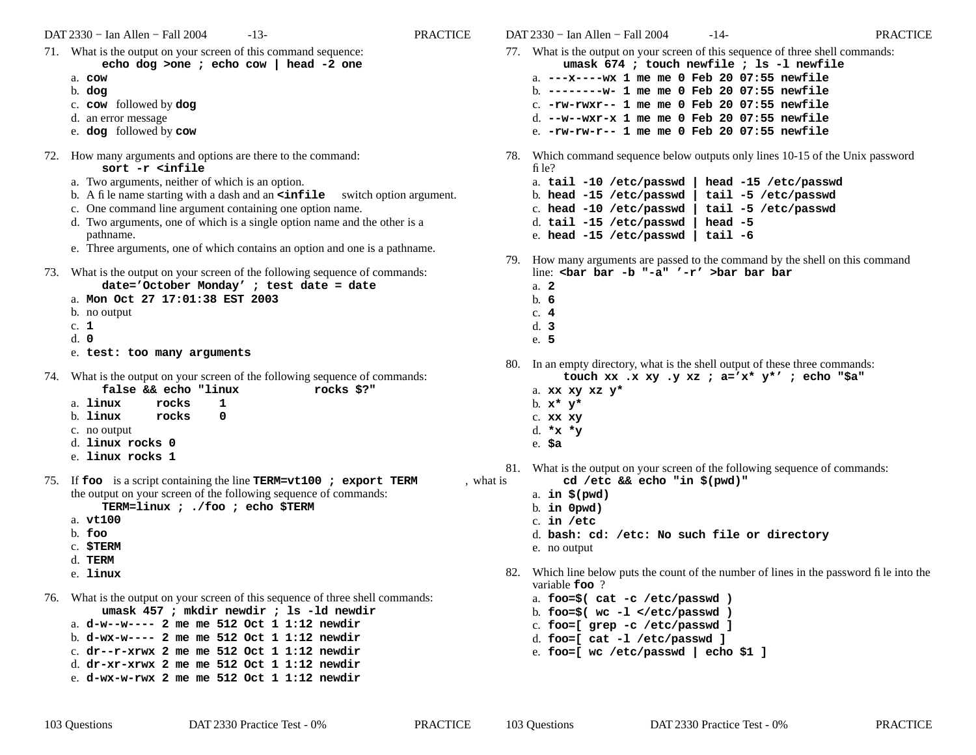DAT 2330 − Ian Allen − Fall 2004 -13- PRACTICE

- 71. What is the output on your screen of this command sequence: **echo dog >one ; echo cow | head -2 one** a. **cow**b. **dog** c. **cow** followed by **dog** d. an error message e. **dog** followed by **cow** 72. How many arguments and options are there to the command: **sort -r <infile**a. Two arguments, neither of which is an option. b. A file name starting with a dash and an **<infile** switch option argument. c. One command line argument containing one option name. d. Two arguments, one of which is a single option name and the other is a pathname. e. Three arguments, one of which contains an option and one is a pathname. 73. What is the output on your screen of the following sequence of commands: **date='October Monday' ; test date = date** a. **Mon Oct 27 17:01:38 EST 2003**b. no output c. **1**d. **0**e. **test: too many arguments** 74. What is the output on your screen of the following sequence of commands: **false && echo "linux rocks \$?"** a. **linux rocks 1** b. **linux rocks 0** c. no output d. **linux rocks 0**e. **linux rocks 1**75. If **foo** is a script containing the line **TERM=vt100 ; export TERM** , what is the output on your screen of the following sequence of commands: **TERM=linux ; ./foo ; echo \$TERM** a. **vt100**b. **foo**c. **\$TERM** d. **TERM**e. **linux**76. What is the output on your screen of this sequence of three shell commands: **umask 457 ; mkdir newdir ; ls -ld newdir** a. **d-w--w---- 2 me me 512 Oct 1 1:12 newdir**b. **d-wx-w---- 2 me me 512 Oct 1 1:12 newdir**c. **dr--r-xrwx 2 me me 512 Oct 1 1:12 newdir**d. **dr-xr-xrwx 2 me me 512 Oct 1 1:12 newdir**file?a. **2**b. **6**c. **4**d. **3**e. **5**e. **\$a**
	- e. **d-wx-w-rwx 2 me me 512 Oct 1 1:12 newdir**
- DAT 2330 − Ian Allen − Fall 2004 -14- PRACTICE77. What is the output on your screen of this sequence of three shell commands: **umask 674 ; touch newfile ; ls -l newfile** a. **---x----wx 1 me me 0 Feb 20 07:55 newfile**b. **--------w- 1 me me 0 Feb 20 07:55 newfile** c. **-rw-rwxr-- 1 me me 0 Feb 20 07:55 newfile**d. **--w--wxr-x 1 me me 0 Feb 20 07:55 newfile**e. **-rw-rw-r-- 1 me me 0 Feb 20 07:55 newfile**78. Which command sequence below outputs only lines 10-15 of the Unix password a. **tail -10 /etc/passwd | head -15 /etc/passwd**
	- b. **head -15 /etc/passwd | tail -5 /etc/passwd** c. **head -10 /etc/passwd | tail -5 /etc/passwd** d. **tail -15 /etc/passwd | head -5** e. **head -15 /etc/passwd | tail -6**
- 79. How many arguments are passed to the command by the shell on this command line: **<bar bar -b "-a" '-r' >bar bar bar**

- 80. In an empty directory, what is the shell output of these three commands: **touch xx .x xy .y xz ; a='x\* y\*' ; echo "\$a"**
	- a. **xx xy xz y\***
	- b. **<sup>x</sup>\* y\***
	- c. **xx xy**
	- d. **\*x \*y**
- 81. What is the output on your screen of the following sequence of commands: **cd /etc && echo "in \$(pwd)"**
	- a. **in \$(pwd)**
	- b. **in 0pwd)**
	- c. **in /etc**
	- d. **bash: cd: /etc: No such file or directory**
	- e. no output
- 82. Which line below puts the count of the number of lines in the password file into the variable **foo** ?
	- a. **foo=\$( cat -c /etc/passwd )**
	- b. **foo=\$( wc -l </etc/passwd )**
	- c. **foo=[ grep -c /etc/passwd ]**
	- d. **foo=[ cat -l /etc/passwd ]**
	- e. **foo=[ wc /etc/passwd | echo \$1 ]**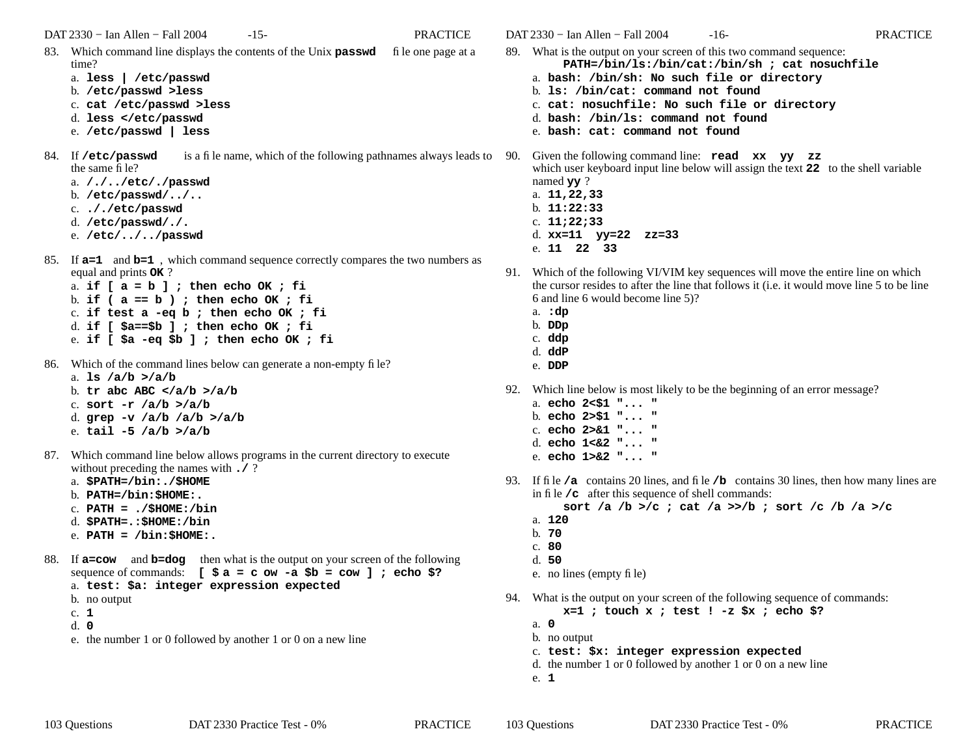DAT 2330 − Ian Allen − Fall 2004 -15- PRACTICE

- 83. Which command line displays the contents of the Unix **passwd** file one page at a time?
	- a. **less | /etc/passwd**
	- b. **/etc/passwd >less**
	- c. **cat /etc/passwd >less**
	- d. **less </etc/passwd**
	- e. **/etc/passwd | less**
- 84. If /etc/passwd is a file name, which of the following pathnames always leads to 90. the same file?
	- a. **/./../etc/./passwd**
	- b. **/etc/passwd/../..**
	- c. **././etc/passwd**
	- d. **/etc/passwd/./.**
	- e. **/etc/../../passwd**
- 85. If **a=1** and **b=1** , which command sequence correctly compares the two numbers as equal and prints **OK** ?
	- a. **if [ a = b ] ; then echo OK ; fi** b. **if ( a == b ) ; then echo OK ; fi** c. **if test a -eq b ; then echo OK ; fi** d. **if [ \$a==\$b ] ; then echo OK ; fi** e. **if [ \$a -eq \$b ] ; then echo OK ; fi**
- 86. Which of the command lines below can generate a non-empty file?
	- a. **ls /a/b >/a/b** b. **tr abc ABC </a/b >/a/b** c. **sort -r /a/b >/a/b** d. **grep -v /a/b /a/b >/a/b** e. **tail -5 /a/b >/a/b**
- 87. Which command line below allows programs in the current directory to execute without preceding the names with **./** ?
	- a. **\$PATH=/bin:./\$HOME**
	- b. **PATH=/bin:\$HOME:.**
	- c. **PATH = ./\$HOME:/bin**
	- d. **\$PATH=.:\$HOME:/bin**
	- e. **PATH = /bin:\$HOME:.**
- 88. If **a=cow** and **b=dog** then what is the output on your screen of the following sequence of commands:  $[\$a = c \text{ow } -a \$b = c \text{ow } ]$ ; echo \$?

a. **test: \$a: integer expression expected**

- b. no output
- c. **1**
- d. **0**
- e. the number 1 or 0 followed by another 1 or 0 on a new line

DAT 2330 − Ian Allen − Fall 2004 -16- PRACTICE89. What is the output on your screen of this two command sequence:

- **PATH=/bin/ls:/bin/cat:/bin/sh ; cat nosuchfile**
	- a. **bash: /bin/sh: No such file or directory** b. **ls: /bin/cat: command not found**
	- c. **cat: nosuchfile: No such file or directory**
	- d. **bash: /bin/ls: command not found**
	- e. **bash: cat: command not found**

Given the following command line: **read** xx yy zz which user keyboard input line below will assign the text **<sup>22</sup>** to the shell variable named **yy** ?

- a. **11,22,33**
- b. **11:22:33**
- c. **11;22;33** d. **xx=11 yy=22 zz=33**
- e. **11 22 33**
- 91. Which of the following VI/VIM key sequences will move the entire line on which the cursor resides to after the line that follows it (i.e. it would move line 5 to be line 6 and line 6 would become line 5)?
	- a. **:dp**
	- b. **DDp**
	- c. **ddp**
	- d. **ddP**
	- e. **DDP**
- 92. Which line below is most likely to be the beginning of an error message?
	- a. **echo 2<\$1 "... "**
	- b. **echo 2>\$1 "... "**
	- c. **echo 2>&1 "... "**
	- d. **echo 1<&2 "... "**
	- e. **echo 1>&2 "... "**
- 93. If file **/a** contains 20 lines, and file **/b** contains 30 lines, then how many lines are in file **/c** after this sequence of shell commands:

**sort /a /b >/c ; cat /a >>/b ; sort /c /b /a >/c**

- a. **120**
- b. **70**
- c. **80**
- d. **50**
- e. no lines (empty file)
- 94. What is the output on your screen of the following sequence of commands:
	- **x=1 ; touch x ; test ! -z \$x ; echo \$?**
	- a. **0**
	- b. no output
	- c. **test: \$x: integer expression expected**
	- d. the number 1 or 0 followed by another 1 or 0 on a new line
	- e. **1**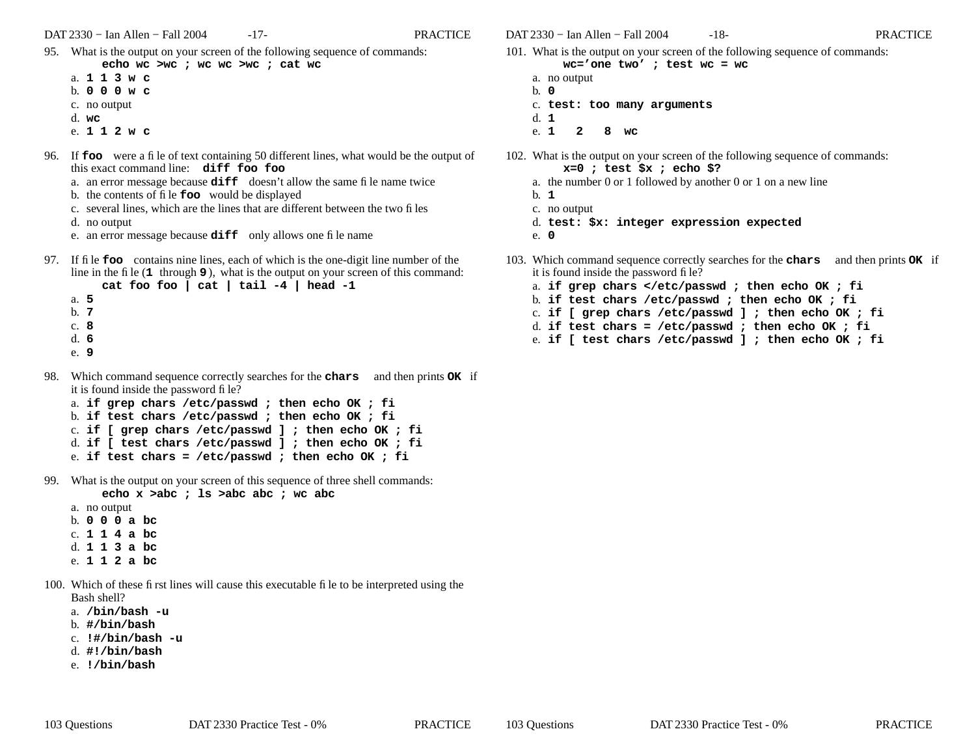- 95. What is the output on your screen of the following sequence of commands: **echo wc >wc ; wc wc >wc ; cat wc**
	- a. **113w c**
	- b. **000w c**
	- c. no output
	- d. **wc**
	- e. **112w c**
- 96. If **foo** were a file of text containing 50 different lines, what would be the output of this exact command line: **diff foo foo**
	- a. an error message because **diff** doesn't allow the same file name twice
	- b. the contents of file **foo** would be displayed
	- c. several lines, which are the lines that are different between the two files
	- d. no output
	- e. an error message because **diff** only allows one file name
- 97. If file **foo** contains nine lines, each of which is the one-digit line number of the line in the file (**<sup>1</sup>** through **9** ), what is the output on your screen of this command: **cat foo foo | cat | tail -4 | head -1**
	- a. **5**b. **7**c. **8**d. **6**
	- e. **9**
- 98. Which command sequence correctly searches for the **chars** and then prints **OK** if it is found inside the password file?
	- a. **if grep chars /etc/passwd ; then echo OK ; fi** b. **if test chars /etc/passwd ; then echo OK ; fi** c. **if [ grep chars /etc/passwd ] ; then echo OK ; fi** d. **if [ test chars /etc/passwd ] ; then echo OK ; fi**
	- e. **if test chars = /etc/passwd ; then echo OK ; fi**
- 99. What is the output on your screen of this sequence of three shell commands:

**echo x >abc ; ls >abc abc ; wc abc**

- a. no output b. **000a bc** c. **114a bc** d. **113a bc** e. **112a bc**
- 100. Which of these first lines will cause this executable file to be interpreted using the Bash shell?
	- a. **/bin/bash -u**
	- b. **#/bin/bash**
	- c. **!#/bin/bash -u**
	- d. **#!/bin/bash**
	- e. **!/bin/bash**

DAT 2330 − Ian Allen − Fall 2004 -18- PRACTICE

- 101. What is the output on your screen of the following sequence of commands:
	- **wc='one two' ; test wc = wc** a. no output
	- b. **0**c. **test: too many arguments** d. **1**
	- e. **128wc**
- 102. What is the output on your screen of the following sequence of commands: **x=0 ; test \$x ; echo \$?**
	- a. the number 0 or 1 followed by another 0 or 1 on a new line
	- b. **1**
	- c. no output
	- d. **test: \$x: integer expression expected**
	- e. **0**
- 103. Which command sequence correctly searches for the **chars** and then prints **OK** if it is found inside the password file?
	- a. **if grep chars </etc/passwd ; then echo OK ; fi**
	- b. **if test chars /etc/passwd ; then echo OK ; fi**
	- c. **if [ grep chars /etc/passwd ] ; then echo OK ; fi**
	- d. **if test chars = /etc/passwd ; then echo OK ; fi**
	- e. **if [ test chars /etc/passwd ] ; then echo OK ; fi**